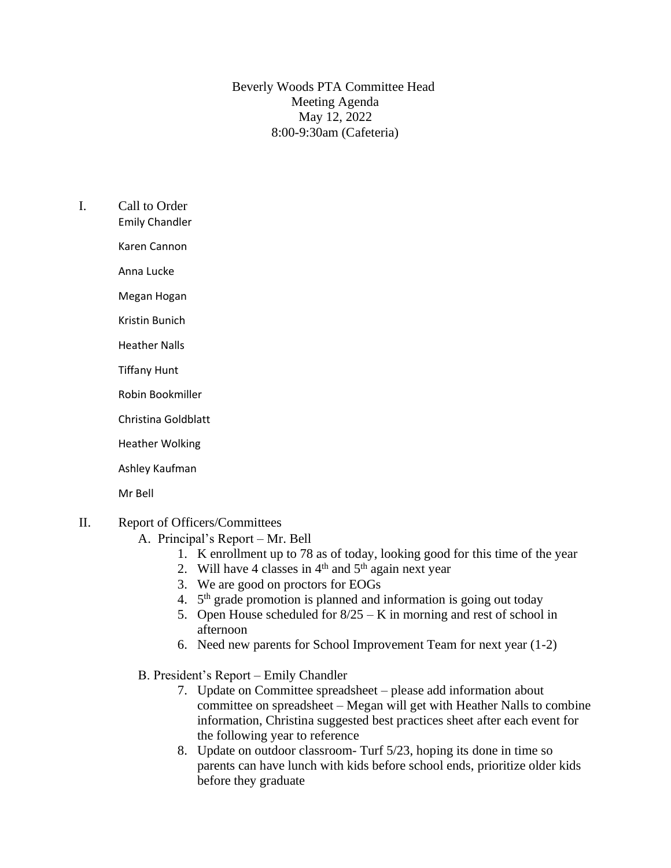Beverly Woods PTA Committee Head Meeting Agenda May 12, 2022 8:00-9:30am (Cafeteria)

- I. Call to Order
	- Emily Chandler

Karen Cannon

Anna Lucke

Megan Hogan

Kristin Bunich

Heather Nalls

- Tiffany Hunt
- Robin Bookmiller

Christina Goldblatt

Heather Wolking

Ashley Kaufman

Mr Bell

## II. Report of Officers/Committees

- A. Principal's Report Mr. Bell
	- 1. K enrollment up to 78 as of today, looking good for this time of the year
	- 2. Will have 4 classes in  $4<sup>th</sup>$  and  $5<sup>th</sup>$  again next year
	- 3. We are good on proctors for EOGs
	- 4. 5<sup>th</sup> grade promotion is planned and information is going out today
	- 5. Open House scheduled for  $8/25 K$  in morning and rest of school in afternoon
	- 6. Need new parents for School Improvement Team for next year (1-2)
- B. President's Report Emily Chandler
	- 7. Update on Committee spreadsheet please add information about committee on spreadsheet – Megan will get with Heather Nalls to combine information, Christina suggested best practices sheet after each event for the following year to reference
	- 8. Update on outdoor classroom- Turf 5/23, hoping its done in time so parents can have lunch with kids before school ends, prioritize older kids before they graduate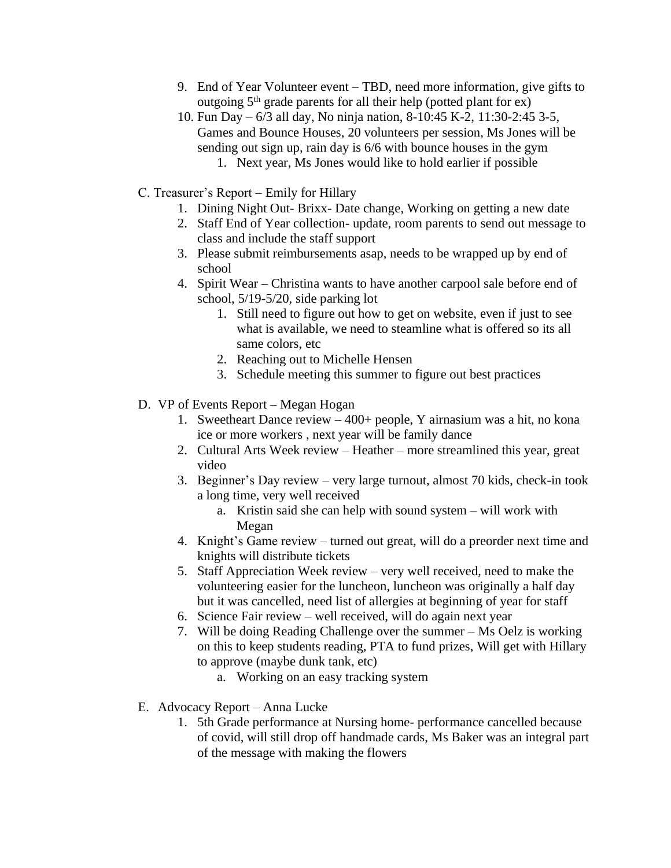- 9. End of Year Volunteer event TBD, need more information, give gifts to outgoing  $5<sup>th</sup>$  grade parents for all their help (potted plant for ex)
- 10. Fun Day 6/3 all day, No ninja nation, 8-10:45 K-2, 11:30-2:45 3-5, Games and Bounce Houses, 20 volunteers per session, Ms Jones will be sending out sign up, rain day is 6/6 with bounce houses in the gym 1. Next year, Ms Jones would like to hold earlier if possible
- C. Treasurer's Report Emily for Hillary
	- 1. Dining Night Out- Brixx- Date change, Working on getting a new date
	- 2. Staff End of Year collection- update, room parents to send out message to class and include the staff support
	- 3. Please submit reimbursements asap, needs to be wrapped up by end of school
	- 4. Spirit Wear Christina wants to have another carpool sale before end of school, 5/19-5/20, side parking lot
		- 1. Still need to figure out how to get on website, even if just to see what is available, we need to steamline what is offered so its all same colors, etc
		- 2. Reaching out to Michelle Hensen
		- 3. Schedule meeting this summer to figure out best practices
- D. VP of Events Report Megan Hogan
	- 1. Sweetheart Dance review 400+ people, Y airnasium was a hit, no kona ice or more workers , next year will be family dance
	- 2. Cultural Arts Week review Heather more streamlined this year, great video
	- 3. Beginner's Day review very large turnout, almost 70 kids, check-in took a long time, very well received
		- a. Kristin said she can help with sound system will work with Megan
	- 4. Knight's Game review turned out great, will do a preorder next time and knights will distribute tickets
	- 5. Staff Appreciation Week review very well received, need to make the volunteering easier for the luncheon, luncheon was originally a half day but it was cancelled, need list of allergies at beginning of year for staff
	- 6. Science Fair review well received, will do again next year
	- 7. Will be doing Reading Challenge over the summer Ms Oelz is working on this to keep students reading, PTA to fund prizes, Will get with Hillary to approve (maybe dunk tank, etc)
		- a. Working on an easy tracking system
- E. Advocacy Report Anna Lucke
	- 1. 5th Grade performance at Nursing home- performance cancelled because of covid, will still drop off handmade cards, Ms Baker was an integral part of the message with making the flowers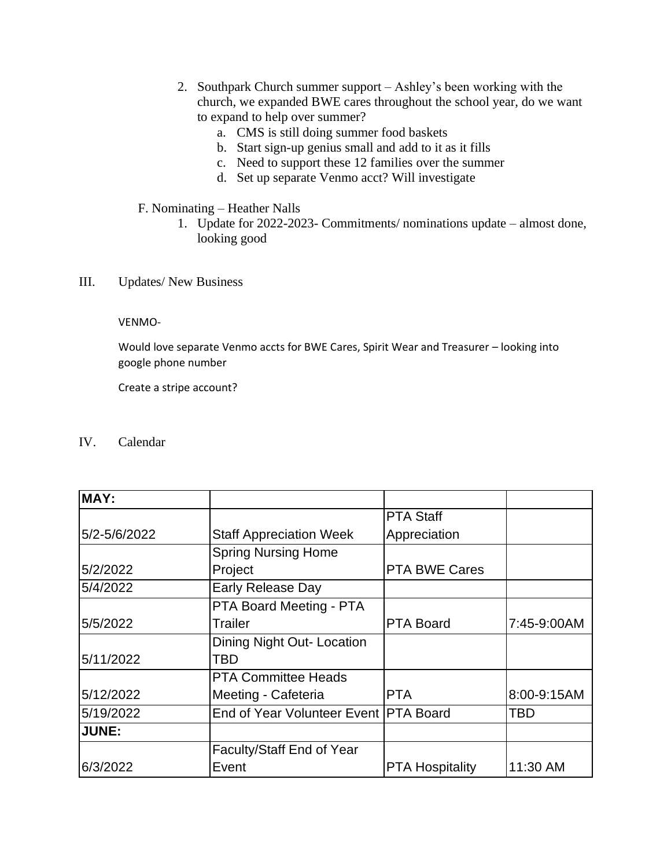- 2. Southpark Church summer support Ashley's been working with the church, we expanded BWE cares throughout the school year, do we want to expand to help over summer?
	- a. CMS is still doing summer food baskets
	- b. Start sign-up genius small and add to it as it fills
	- c. Need to support these 12 families over the summer
	- d. Set up separate Venmo acct? Will investigate
- F. Nominating Heather Nalls
	- 1. Update for 2022-2023- Commitments/ nominations update almost done, looking good
- III. Updates/ New Business

## VENMO-

Would love separate Venmo accts for BWE Cares, Spirit Wear and Treasurer – looking into google phone number

Create a stripe account?

IV. Calendar

| MAY:         |                                       |                        |             |
|--------------|---------------------------------------|------------------------|-------------|
|              |                                       | <b>PTA Staff</b>       |             |
| 5/2-5/6/2022 | <b>Staff Appreciation Week</b>        | Appreciation           |             |
|              | <b>Spring Nursing Home</b>            |                        |             |
| 5/2/2022     | Project                               | <b>PTA BWE Cares</b>   |             |
| 5/4/2022     | <b>Early Release Day</b>              |                        |             |
|              | PTA Board Meeting - PTA               |                        |             |
| 5/5/2022     | Trailer                               | <b>PTA Board</b>       | 7:45-9:00AM |
|              | Dining Night Out- Location            |                        |             |
| 5/11/2022    | TBD                                   |                        |             |
|              | <b>PTA Committee Heads</b>            |                        |             |
| 5/12/2022    | Meeting - Cafeteria                   | <b>PTA</b>             | 8:00-9:15AM |
| 5/19/2022    | End of Year Volunteer Event PTA Board |                        | TBD         |
| <b>JUNE:</b> |                                       |                        |             |
|              | Faculty/Staff End of Year             |                        |             |
| 6/3/2022     | Event                                 | <b>PTA Hospitality</b> | 11:30 AM    |